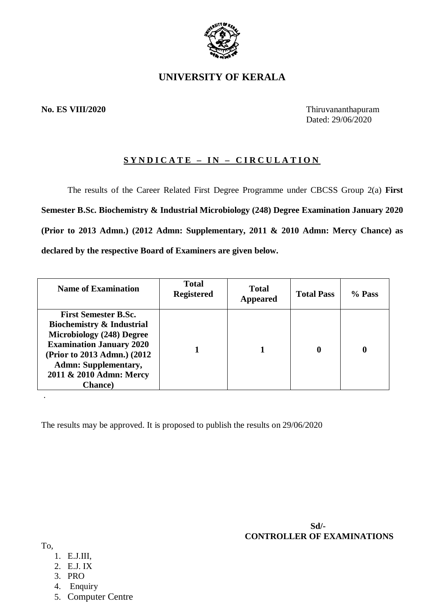

## **UNIVERSITY OF KERALA**

### **No. ES VIII/2020** Thiruvananthapuram

Dated: 29/06/2020

### **S Y N D I C A T E – I N – C I R C U L A T I O N**

The results of the Career Related First Degree Programme under CBCSS Group 2(a) **First Semester B.Sc. Biochemistry & Industrial Microbiology (248) Degree Examination January 2020 (Prior to 2013 Admn.) (2012 Admn: Supplementary, 2011 & 2010 Admn: Mercy Chance) as declared by the respective Board of Examiners are given below.**

| <b>Name of Examination</b>                                                                                                                                                                                                                              | <b>Total</b><br><b>Registered</b> | <b>Total</b><br>Appeared | <b>Total Pass</b> | $%$ Pass |
|---------------------------------------------------------------------------------------------------------------------------------------------------------------------------------------------------------------------------------------------------------|-----------------------------------|--------------------------|-------------------|----------|
| <b>First Semester B.Sc.</b><br><b>Biochemistry &amp; Industrial</b><br><b>Microbiology (248) Degree</b><br><b>Examination January 2020</b><br>(Prior to 2013 Admn.) (2012)<br><b>Admn: Supplementary,</b><br>2011 & 2010 Admn: Mercy<br><b>Chance</b> ) |                                   |                          | $\mathbf 0$       | 0        |

The results may be approved. It is proposed to publish the results on 29/06/2020

 **Sd/- CONTROLLER OF EXAMINATIONS**

To,

.

- 1. E.J.III,
- 2. E.J. IX
- 3. PRO
- 4. Enquiry
- 5. Computer Centre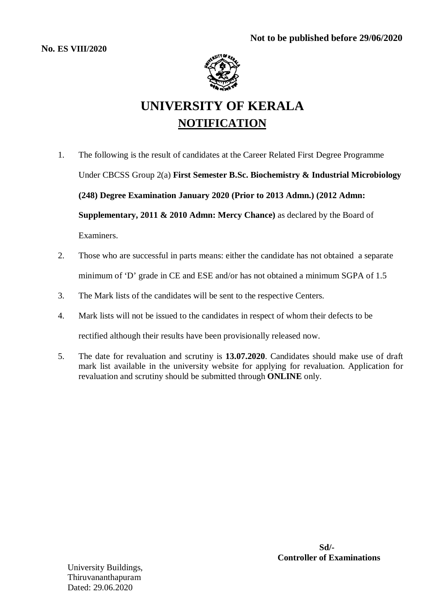

# **UNIVERSITY OF KERALA NOTIFICATION**

- 1. The following is the result of candidates at the Career Related First Degree Programme Under CBCSS Group 2(a) **First Semester B.Sc. Biochemistry & Industrial Microbiology (248) Degree Examination January 2020 (Prior to 2013 Admn.) (2012 Admn: Supplementary, 2011 & 2010 Admn: Mercy Chance)** as declared by the Board of Examiners.
- 2. Those who are successful in parts means: either the candidate has not obtained a separate minimum of 'D' grade in CE and ESE and/or has not obtained a minimum SGPA of 1.5
- 3. The Mark lists of the candidates will be sent to the respective Centers.
- 4. Mark lists will not be issued to the candidates in respect of whom their defects to be rectified although their results have been provisionally released now.
- 5. The date for revaluation and scrutiny is **13.07.2020**. Candidates should make use of draft mark list available in the university website for applying for revaluation. Application for revaluation and scrutiny should be submitted through **ONLINE** only.